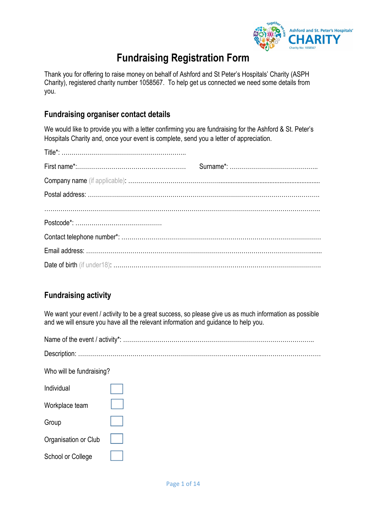

# **Fundraising Registration Form**

Thank you for offering to raise money on behalf of Ashford and St Peter's Hospitals' Charity (ASPH Charity), registered charity number 1058567. To help get us connected we need some details from you.

## **Fundraising organiser contact details**

We would like to provide you with a letter confirming you are fundraising for the Ashford & St. Peter's Hospitals Charity and, once your event is complete, send you a letter of appreciation.

# **Fundraising activity**

We want your event / activity to be a great success, so please give us as much information as possible and we will ensure you have all the relevant information and guidance to help you.

Name of the event / activity\*: …………………………………………………………………………………..

Description: ………………………………………………………………………………....………………………

Who will be fundraising?

Individual

| Tholyloual           |  |
|----------------------|--|
| Workplace team       |  |
| Group                |  |
| Organisation or Club |  |
| School or College    |  |

Г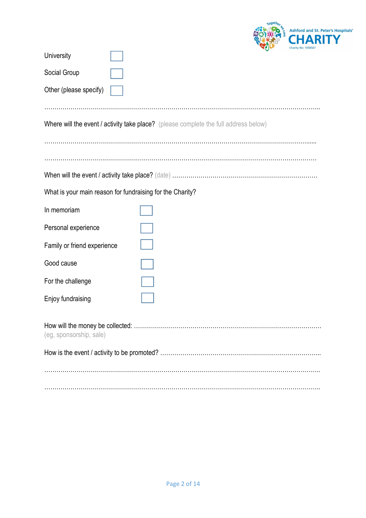

| University                                                |                                                                                      | chancy not reposed |
|-----------------------------------------------------------|--------------------------------------------------------------------------------------|--------------------|
| Social Group                                              |                                                                                      |                    |
| Other (please specify)                                    |                                                                                      |                    |
|                                                           |                                                                                      |                    |
|                                                           | Where will the event / activity take place? (please complete the full address below) |                    |
|                                                           |                                                                                      |                    |
|                                                           |                                                                                      |                    |
|                                                           |                                                                                      |                    |
| What is your main reason for fundraising for the Charity? |                                                                                      |                    |
| In memoriam                                               |                                                                                      |                    |
| Personal experience                                       |                                                                                      |                    |
| Family or friend experience                               |                                                                                      |                    |
| Good cause                                                |                                                                                      |                    |
| For the challenge                                         |                                                                                      |                    |
| Enjoy fundraising                                         |                                                                                      |                    |
|                                                           |                                                                                      |                    |
| (eg, sponsorship, sale)                                   |                                                                                      |                    |
|                                                           |                                                                                      |                    |
|                                                           |                                                                                      |                    |
|                                                           |                                                                                      |                    |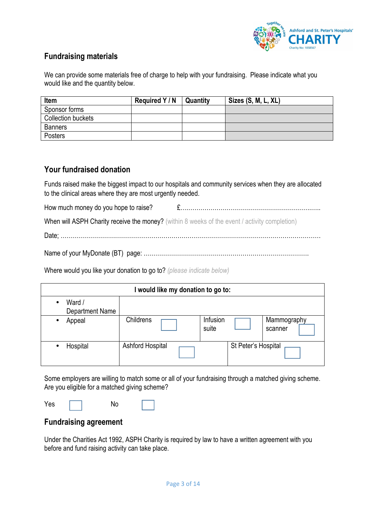

## **Fundraising materials**

We can provide some materials free of charge to help with your fundraising. Please indicate what you would like and the quantity below.

| <b>Item</b>        | Required Y / N | Quantity | Sizes (S, M, L, XL) |
|--------------------|----------------|----------|---------------------|
| Sponsor forms      |                |          |                     |
| Collection buckets |                |          |                     |
| <b>Banners</b>     |                |          |                     |
| <b>Posters</b>     |                |          |                     |

#### **Your fundraised donation**

Funds raised make the biggest impact to our hospitals and community services when they are allocated to the clinical areas where they are most urgently needed.

How much money do you hope to raise? £….…………………………………………………….…..

When will ASPH Charity receive the money? (within 8 weeks of the event / activity completion)

Date; …………………………………………………………………………………………………………………

Name of your MyDonate (BT) page: ……………………………………………………………………….

Where would you like your donation to go to? *(please indicate below)* 

| I would like my donation to go to: |                         |                   |                     |                        |
|------------------------------------|-------------------------|-------------------|---------------------|------------------------|
| Ward /<br>Department Name          |                         |                   |                     |                        |
| Appeal                             | <b>Childrens</b>        | Infusion<br>suite |                     | Mammography<br>scanner |
| Hospital                           | <b>Ashford Hospital</b> |                   | St Peter's Hospital |                        |

Some employers are willing to match some or all of your fundraising through a matched giving scheme. Are you eligible for a matched giving scheme?

 $Yes \t No$ 

#### **Fundraising agreement**

Under the Charities Act 1992, ASPH Charity is required by law to have a written agreement with you before and fund raising activity can take place.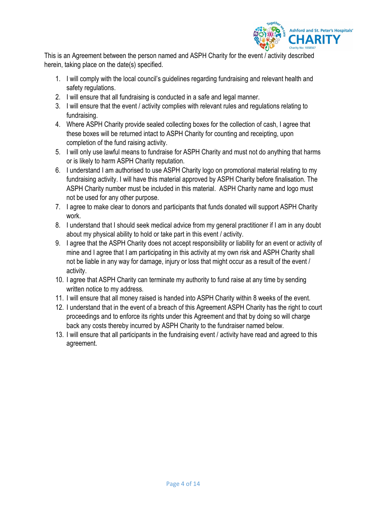

This is an Agreement between the person named and ASPH Charity for the event / activity described herein, taking place on the date(s) specified.

- 1. I will comply with the local council's guidelines regarding fundraising and relevant health and safety regulations.
- 2. I will ensure that all fundraising is conducted in a safe and legal manner.
- 3. I will ensure that the event / activity complies with relevant rules and regulations relating to fundraising.
- 4. Where ASPH Charity provide sealed collecting boxes for the collection of cash, I agree that these boxes will be returned intact to ASPH Charity for counting and receipting, upon completion of the fund raising activity.
- 5. I will only use lawful means to fundraise for ASPH Charity and must not do anything that harms or is likely to harm ASPH Charity reputation.
- 6. I understand I am authorised to use ASPH Charity logo on promotional material relating to my fundraising activity. I will have this material approved by ASPH Charity before finalisation. The ASPH Charity number must be included in this material. ASPH Charity name and logo must not be used for any other purpose.
- 7. I agree to make clear to donors and participants that funds donated will support ASPH Charity work.
- 8. I understand that I should seek medical advice from my general practitioner if I am in any doubt about my physical ability to hold or take part in this event / activity.
- 9. I agree that the ASPH Charity does not accept responsibility or liability for an event or activity of mine and I agree that I am participating in this activity at my own risk and ASPH Charity shall not be liable in any way for damage, injury or loss that might occur as a result of the event / activity.
- 10. I agree that ASPH Charity can terminate my authority to fund raise at any time by sending written notice to my address.
- 11. I will ensure that all money raised is handed into ASPH Charity within 8 weeks of the event.
- 12. I understand that in the event of a breach of this Agreement ASPH Charity has the right to court proceedings and to enforce its rights under this Agreement and that by doing so will charge back any costs thereby incurred by ASPH Charity to the fundraiser named below.
- 13. I will ensure that all participants in the fundraising event / activity have read and agreed to this agreement.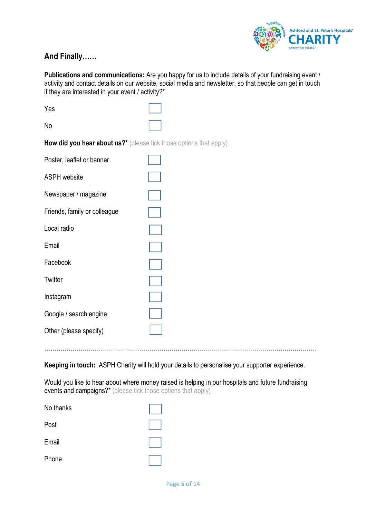

# **And Finally……**

**Publications and communications:** Are you happy for us to include details of your fundraising event / activity and contact details on our website, social media and newsletter, so that people can get in touch if they are interested in your event / activity?\*

| Yes                                                                |  |
|--------------------------------------------------------------------|--|
| No                                                                 |  |
| How did you hear about us?* (please tick those options that apply) |  |
| Poster, leaflet or banner                                          |  |
| <b>ASPH</b> website                                                |  |
| Newspaper / magazine                                               |  |
| Friends, family or colleague                                       |  |
| Local radio                                                        |  |
| Email                                                              |  |
| Facebook                                                           |  |
| Twitter                                                            |  |
| Instagram                                                          |  |
| Google / search engine                                             |  |
| Other (please specify)                                             |  |
|                                                                    |  |

**Keeping in touch:** ASPH Charity will hold your details to personalise your supporter experience.

………………………………………………………………………………………………………………………

Would you like to hear about where money raised is helping in our hospitals and future fundraising events and campaigns?\* (please tick those options that apply)

| No thanks |  |
|-----------|--|
| Post      |  |
| Email     |  |
| Phone     |  |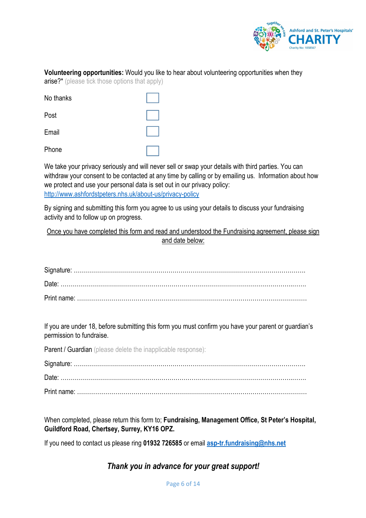

#### **Volunteering opportunities:** Would you like to hear about volunteering opportunities when they arise?\* (please tick those options that apply)

| No thanks |  |
|-----------|--|
| Post      |  |
| Email     |  |
| Phone     |  |

We take your privacy seriously and will never sell or swap your details with third parties. You can withdraw your consent to be contacted at any time by calling or by emailing us. Information about how we protect and use your personal data is set out in our privacy policy: http://www.ashfordstpeters.nhs.uk/about-us/privacy-policy

By signing and submitting this form you agree to us using your details to discuss your fundraising activity and to follow up on progress.

Once you have completed this form and read and understood the Fundraising agreement, please sign and date below:

If you are under 18, before submitting this form you must confirm you have your parent or guardian's permission to fundraise.

Parent / Guardian (please delete the inapplicable response):

Signature: ……………………………………………………………………………………………………. Date: …………………………………………………………………………………………………….……. Print name: ……………………………………………………………………………………………………

When completed, please return this form to; **Fundraising, Management Office, St Peter's Hospital, Guildford Road, Chertsey, Surrey, KY16 OPZ.** 

If you need to contact us please ring **01932 726585** or email **asp-tr.fundraising@nhs.net**

# *Thank you in advance for your great support!*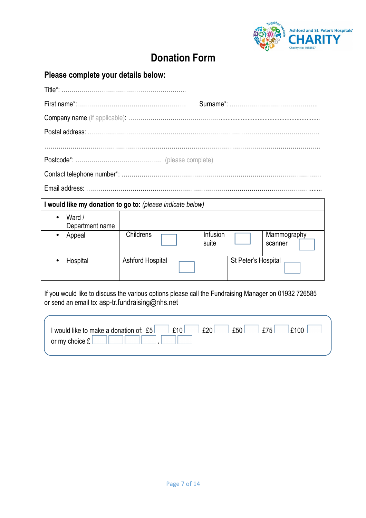

# **Donation Form**

|  | Please complete your details below: |
|--|-------------------------------------|
|--|-------------------------------------|

| I would like my donation to go to: (please indicate below) |                         |                     |                        |  |
|------------------------------------------------------------|-------------------------|---------------------|------------------------|--|
| Ward /<br>Department name                                  |                         |                     |                        |  |
| Appeal                                                     | Childrens               | Infusion<br>suite   | Mammography<br>scanner |  |
| Hospital                                                   | <b>Ashford Hospital</b> | St Peter's Hospital |                        |  |

If you would like to discuss the various options please call the Fundraising Manager on 01932 726585 or send an email to: <u>asp-tr.fundraising@nhs.net</u>

| I would like to make a donation of: £5 | ~f10 | f20 | f50 | f75 | £100 |
|----------------------------------------|------|-----|-----|-----|------|
| or my choice $\mathfrak k$             |      |     |     |     |      |
|                                        |      |     |     |     |      |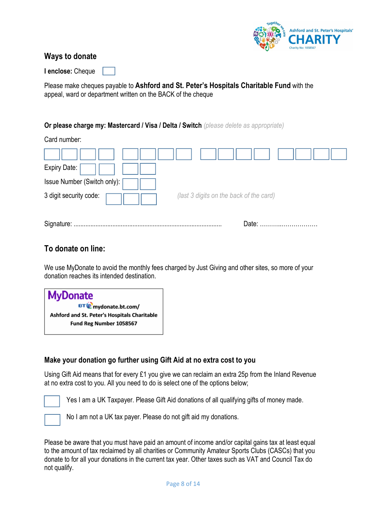

### **Ways to donate**

**I enclose:** Cheque

Please make cheques payable to **Ashford and St. Peter's Hospitals Charitable Fund** with the appeal, ward or department written on the BACK of the cheque

#### **Or please charge my: Mastercard / Visa / Delta / Switch** *(please delete as appropriate)*

Card number:

| Expiry Date:                  |                                         |
|-------------------------------|-----------------------------------------|
| Issue Number (Switch only): [ |                                         |
| 3 digit security code:        | (last 3 digits on the back of the card) |
| Signature:                    | Date:                                   |

### **To donate on line:**

We use MyDonate to avoid the monthly fees charged by Just Giving and other sites, so more of your donation reaches its intended destination.

| <b>MyDonate</b>                              |
|----------------------------------------------|
| <b>BTO</b> mydonate.bt.com/                  |
| Ashford and St. Peter's Hospitals Charitable |
| Fund Reg Number 1058567                      |
|                                              |

#### **Make your donation go further using Gift Aid at no extra cost to you**

Using Gift Aid means that for every £1 you give we can reclaim an extra 25p from the Inland Revenue at no extra cost to you. All you need to do is select one of the options below;

Yes I am a UK Taxpayer. Please Gift Aid donations of all qualifying gifts of money made.



No I am not a UK tax payer. Please do not gift aid my donations.

Please be aware that you must have paid an amount of income and/or capital gains tax at least equal to the amount of tax reclaimed by all charities or Community Amateur Sports Clubs (CASCs) that you donate to for all your donations in the current tax year. Other taxes such as VAT and Council Tax do not qualify.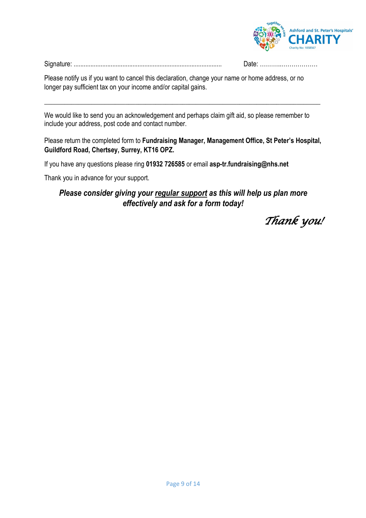

Date: ……………………………

| $\sim$ |  |
|--------|--|
|        |  |
|        |  |

Please notify us if you want to cancel this declaration, change your name or home address, or no longer pay sufficient tax on your income and/or capital gains.

We would like to send you an acknowledgement and perhaps claim gift aid, so please remember to include your address, post code and contact number.

#### Please return the completed form to **Fundraising Manager, Management Office, St Peter's Hospital, Guildford Road, Chertsey, Surrey, KT16 OPZ.**

\_\_\_\_\_\_\_\_\_\_\_\_\_\_\_\_\_\_\_\_\_\_\_\_\_\_\_\_\_\_\_\_\_\_\_\_\_\_\_\_\_\_\_\_\_\_\_\_\_\_\_\_\_\_\_\_\_\_\_\_\_\_\_\_\_\_\_\_\_\_\_\_\_\_\_\_\_\_\_\_\_\_

If you have any questions please ring **01932 726585** or email **asp-tr.fundraising@nhs.net**

Thank you in advance for your support.

## *Please consider giving your regular support as this will help us plan more effectively and ask for a form today!*

Thank you!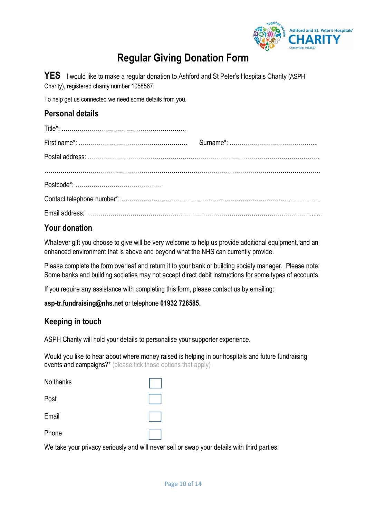

# **Regular Giving Donation Form**

YES I would like to make a regular donation to Ashford and St Peter's Hospitals Charity (ASPH Charity), registered charity number 1058567.

To help get us connected we need some details from you.

### **Personal details**

## **Your donation**

Whatever gift you choose to give will be very welcome to help us provide additional equipment, and an enhanced environment that is above and beyond what the NHS can currently provide.

Please complete the form overleaf and return it to your bank or building society manager. Please note: Some banks and building societies may not accept direct debit instructions for some types of accounts.

If you require any assistance with completing this form, please contact us by emailing:

#### **asp-tr.fundraising@nhs.net** or telephone **01932 726585.**

#### **Keeping in touch**

ASPH Charity will hold your details to personalise your supporter experience.

Would you like to hear about where money raised is helping in our hospitals and future fundraising events and campaigns?\* (please tick those options that apply)

| No thanks |  |
|-----------|--|
| Post      |  |
| Email     |  |
| Phone     |  |

We take your privacy seriously and will never sell or swap your details with third parties.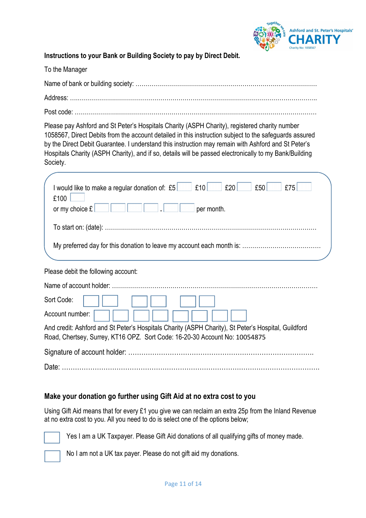

**Instructions to your Bank or Building Society to pay by Direct Debit.** 

| To the Manager                                                                                                                                                                                                                                                                                                                                                                                                                       |
|--------------------------------------------------------------------------------------------------------------------------------------------------------------------------------------------------------------------------------------------------------------------------------------------------------------------------------------------------------------------------------------------------------------------------------------|
|                                                                                                                                                                                                                                                                                                                                                                                                                                      |
|                                                                                                                                                                                                                                                                                                                                                                                                                                      |
|                                                                                                                                                                                                                                                                                                                                                                                                                                      |
| Please pay Ashford and St Peter's Hospitals Charity (ASPH Charity), registered charity number<br>1058567, Direct Debits from the account detailed in this instruction subject to the safeguards assured<br>by the Direct Debit Guarantee. I understand this instruction may remain with Ashford and St Peter's<br>Hospitals Charity (ASPH Charity), and if so, details will be passed electronically to my Bank/Building<br>Society. |
| I would like to make a regular donation of: $£5$ $£10$ $£20$ $£50$<br>£75<br>£100<br>or my choice $E$<br>$\left  \cdot \right $ per month.<br><b>Contract</b>                                                                                                                                                                                                                                                                        |
| Please debit the following account:                                                                                                                                                                                                                                                                                                                                                                                                  |
|                                                                                                                                                                                                                                                                                                                                                                                                                                      |
| Sort Code:                                                                                                                                                                                                                                                                                                                                                                                                                           |
| Account number:                                                                                                                                                                                                                                                                                                                                                                                                                      |
| And credit: Ashford and St Peter's Hospitals Charity (ASPH Charity), St Peter's Hospital, Guildford<br>Road, Chertsey, Surrey, KT16 OPZ. Sort Code: 16-20-30 Account No: 10054875                                                                                                                                                                                                                                                    |
|                                                                                                                                                                                                                                                                                                                                                                                                                                      |
|                                                                                                                                                                                                                                                                                                                                                                                                                                      |

#### **Make your donation go further using Gift Aid at no extra cost to you**

Using Gift Aid means that for every £1 you give we can reclaim an extra 25p from the Inland Revenue at no extra cost to you. All you need to do is select one of the options below;



Yes I am a UK Taxpayer. Please Gift Aid donations of all qualifying gifts of money made.



No I am not a UK tax payer. Please do not gift aid my donations.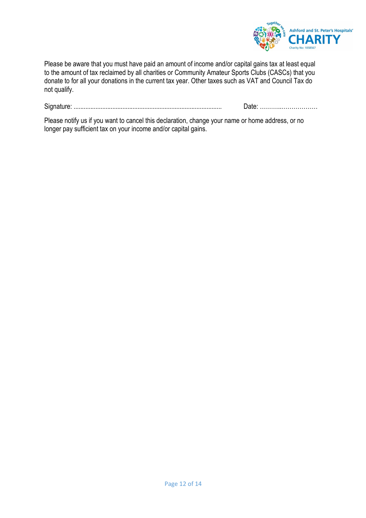

Please be aware that you must have paid an amount of income and/or capital gains tax at least equal to the amount of tax reclaimed by all charities or Community Amateur Sports Clubs (CASCs) that you donate to for all your donations in the current tax year. Other taxes such as VAT and Council Tax do not qualify.

Signature: ........................................................................................ Date: ………..………………

Please notify us if you want to cancel this declaration, change your name or home address, or no longer pay sufficient tax on your income and/or capital gains.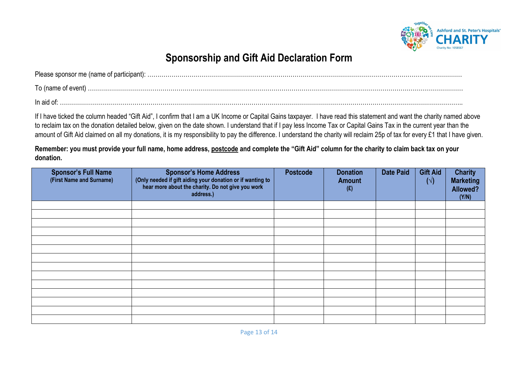

# **Sponsorship and Gift Aid Declaration Form**

| In aid of: |
|------------|

If I have ticked the column headed "Gift Aid", I confirm that I am a UK Income or Capital Gains taxpayer. I have read this statement and want the charity named above to reclaim tax on the donation detailed below, given on the date shown. I understand that if I pay less Income Tax or Capital Gains Tax in the current year than the amount of Gift Aid claimed on all my donations, it is my responsibility to pay the difference. I understand the charity will reclaim 25p of tax for every £1 that I have given.

**Remember: you must provide your full name, home address, postcode and complete the "Gift Aid" column for the charity to claim back tax on your donation.** 

| <b>Sponsor's Full Name</b><br>(First Name and Surname) | <b>Sponsor's Home Address</b><br>(Only needed if gift aiding your donation or if wanting to<br>hear more about the charity. Do not give you work<br>address.) | <b>Postcode</b> | <b>Donation</b><br><b>Amount</b><br>(E) | <b>Date Paid</b> | <b>Gift Aid</b><br>$(\vee)$ | <b>Charity</b><br><b>Marketing</b><br>Allowed?<br>(Y/N) |
|--------------------------------------------------------|---------------------------------------------------------------------------------------------------------------------------------------------------------------|-----------------|-----------------------------------------|------------------|-----------------------------|---------------------------------------------------------|
|                                                        |                                                                                                                                                               |                 |                                         |                  |                             |                                                         |
|                                                        |                                                                                                                                                               |                 |                                         |                  |                             |                                                         |
|                                                        |                                                                                                                                                               |                 |                                         |                  |                             |                                                         |
|                                                        |                                                                                                                                                               |                 |                                         |                  |                             |                                                         |
|                                                        |                                                                                                                                                               |                 |                                         |                  |                             |                                                         |
|                                                        |                                                                                                                                                               |                 |                                         |                  |                             |                                                         |
|                                                        |                                                                                                                                                               |                 |                                         |                  |                             |                                                         |
|                                                        |                                                                                                                                                               |                 |                                         |                  |                             |                                                         |
|                                                        |                                                                                                                                                               |                 |                                         |                  |                             |                                                         |
|                                                        |                                                                                                                                                               |                 |                                         |                  |                             |                                                         |
|                                                        |                                                                                                                                                               |                 |                                         |                  |                             |                                                         |
|                                                        |                                                                                                                                                               |                 |                                         |                  |                             |                                                         |
|                                                        |                                                                                                                                                               |                 |                                         |                  |                             |                                                         |
|                                                        |                                                                                                                                                               |                 |                                         |                  |                             |                                                         |